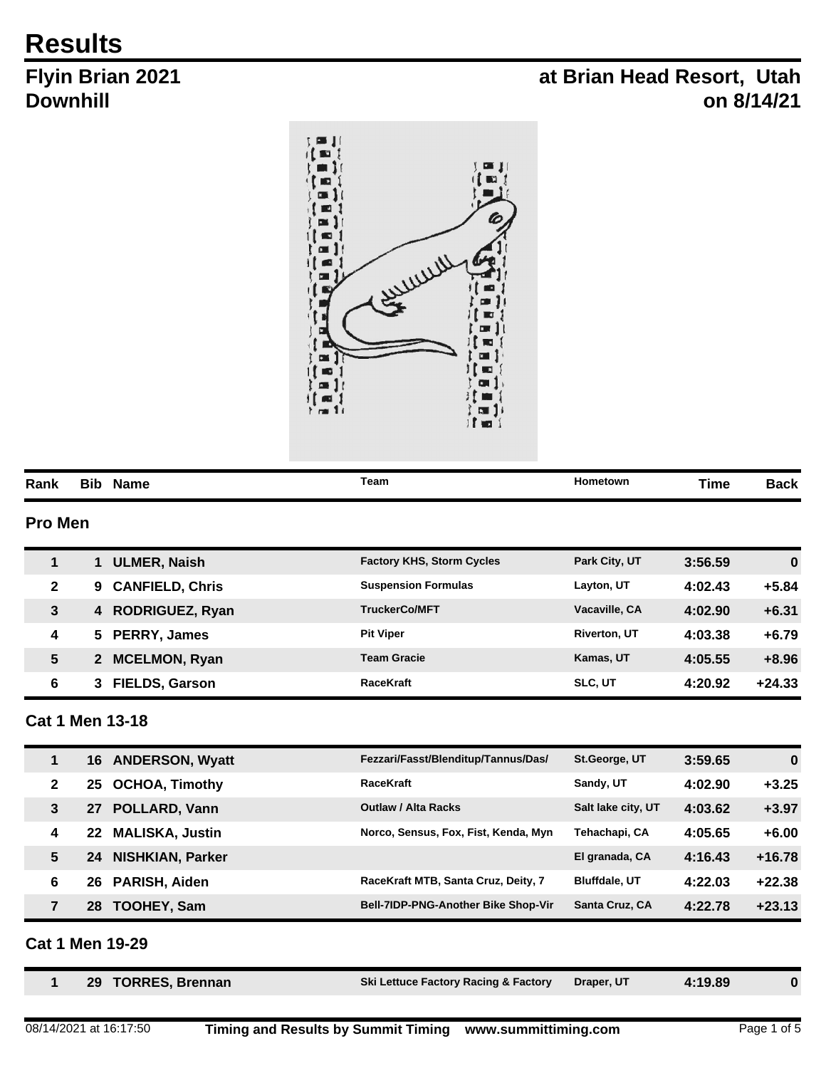# **Results**

# **Flyin Brian 2021 Downhill**

# **at Brian Head Resort, Utah on 8/14/21**



| Rank           | Bib | Name | Team | Hometown | <b>Time</b> | Back |
|----------------|-----|------|------|----------|-------------|------|
| <b>Pro Men</b> |     |      |      |          |             |      |

|              | ULMER, Naish                | <b>Factory KHS, Storm Cycles</b> | Park City, UT       | 3:56.59 | $\bf{0}$ |
|--------------|-----------------------------|----------------------------------|---------------------|---------|----------|
| $\mathbf{2}$ | <b>CANFIELD, Chris</b><br>9 | <b>Suspension Formulas</b>       | Layton, UT          | 4:02.43 | $+5.84$  |
| 3            | <b>RODRIGUEZ, Ryan</b>      | <b>TruckerCo/MFT</b>             | Vacaville, CA       | 4:02.90 | $+6.31$  |
| 4            | <b>PERRY, James</b><br>5.   | <b>Pit Viper</b>                 | <b>Riverton, UT</b> | 4:03.38 | $+6.79$  |
| 5            | <b>MCELMON, Ryan</b>        | <b>Team Gracie</b>               | Kamas, UT           | 4:05.55 | $+8.96$  |
| 6            | <b>FIELDS, Garson</b>       | <b>RaceKraft</b>                 | <b>SLC, UT</b>      | 4:20.92 | $+24.33$ |

### **Cat 1 Men 13-18**

| 1              | 16 | <b>ANDERSON, Wyatt</b>  | Fezzari/Fasst/Blenditup/Tannus/Das/  | St.George, UT        | 3:59.65 | $\mathbf 0$ |
|----------------|----|-------------------------|--------------------------------------|----------------------|---------|-------------|
| $\mathbf{2}$   | 25 | <b>OCHOA, Timothy</b>   | <b>RaceKraft</b>                     | Sandy, UT            | 4:02.90 | $+3.25$     |
| 3              | 27 | POLLARD, Vann           | <b>Outlaw / Alta Racks</b>           | Salt lake city, UT   | 4:03.62 | $+3.97$     |
| 4              | 22 | <b>MALISKA, Justin</b>  | Norco, Sensus, Fox, Fist, Kenda, Myn | Tehachapi, CA        | 4:05.65 | $+6.00$     |
| 5              | 24 | <b>NISHKIAN, Parker</b> |                                      | El granada, CA       | 4:16.43 | $+16.78$    |
| 6              | 26 | <b>PARISH, Aiden</b>    | RaceKraft MTB, Santa Cruz, Deity, 7  | <b>Bluffdale, UT</b> | 4:22.03 | $+22.38$    |
| $\overline{7}$ | 28 | <b>TOOHEY, Sam</b>      | Bell-7IDP-PNG-Another Bike Shop-Vir  | Santa Cruz, CA       | 4:22.78 | $+23.13$    |
|                |    |                         |                                      |                      |         |             |

## **Cat 1 Men 19-29**

|  | 29 TORRES, Brennan | Ski Lettuce Factory Racing & Factory Draper, UT |  | 4:19.89 |  |
|--|--------------------|-------------------------------------------------|--|---------|--|
|--|--------------------|-------------------------------------------------|--|---------|--|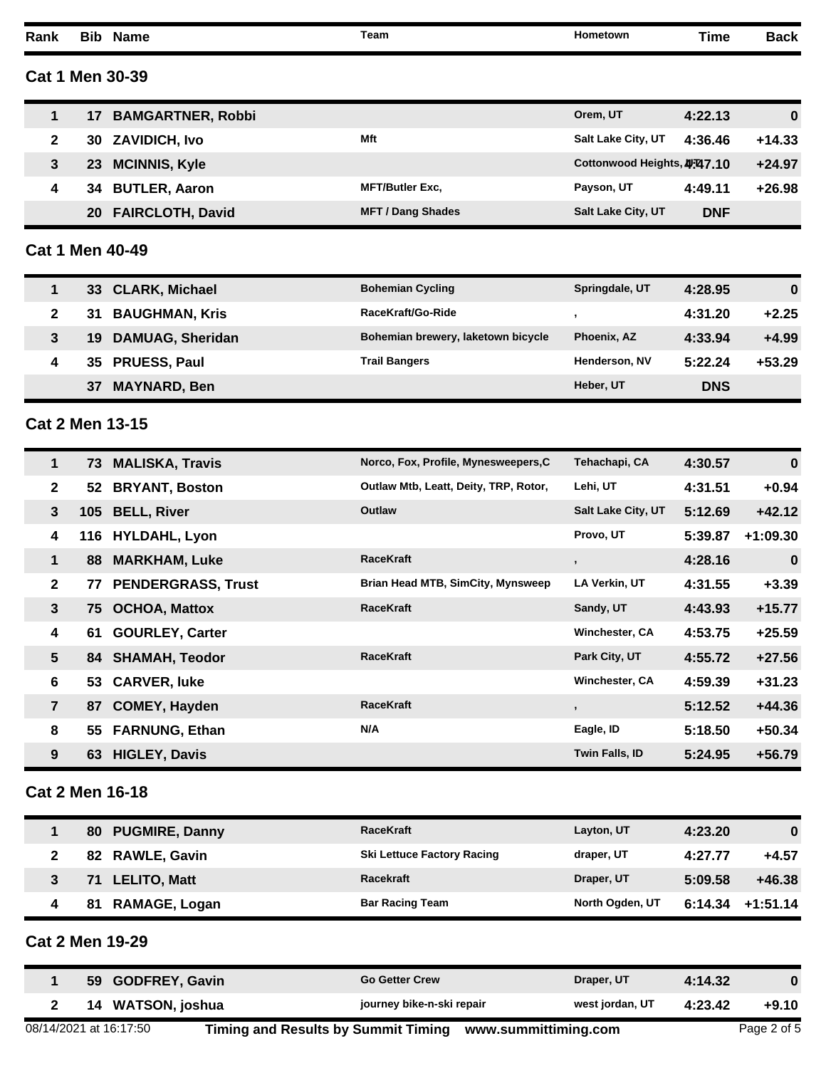**Rank Bib Name Team Hometown Time Back**

**Cat 1 Men 30-39**

|   | <b>BAMGARTNER, Robbi</b>      |                          | Orem. UT<br>4:22.13                     | $\bf{0}$ |
|---|-------------------------------|--------------------------|-----------------------------------------|----------|
|   | <b>ZAVIDICH, Ivo</b><br>30    | Mft                      | <b>Salt Lake City, UT</b><br>4:36.46    | $+14.33$ |
|   | <b>MCINNIS, Kyle</b><br>23    |                          | Cottonwood Heights, 4.47.10             | $+24.97$ |
| 4 | <b>BUTLER, Aaron</b><br>34    | <b>MFT/Butler Exc.</b>   | Payson, UT<br>4:49.11                   | $+26.98$ |
|   | <b>FAIRCLOTH, David</b><br>20 | <b>MFT / Dang Shades</b> | <b>Salt Lake City, UT</b><br><b>DNF</b> |          |

**Cat 1 Men 40-49**

|   | 33 CLARK, Michael             | <b>Bohemian Cycling</b>            | Springdale, UT     | 4:28.95    | $\bf{0}$ |
|---|-------------------------------|------------------------------------|--------------------|------------|----------|
|   | <b>BAUGHMAN, Kris</b><br>31   | RaceKraft/Go-Ride                  |                    | 4:31.20    | $+2.25$  |
|   | <b>DAMUAG, Sheridan</b><br>19 | Bohemian brewery, laketown bicycle | <b>Phoenix, AZ</b> | 4:33.94    | $+4.99$  |
| 4 | 35 PRUESS, Paul               | <b>Trail Bangers</b>               | Henderson, NV      | 5:22.24    | $+53.29$ |
|   | <b>MAYNARD, Ben</b><br>37     |                                    | Heber, UT          | <b>DNS</b> |          |

#### **Cat 2 Men 13-15**

| $\mathbf 1$    | 73  | <b>MALISKA, Travis</b>    | Norco, Fox, Profile, Mynesweepers, C  | Tehachapi, CA             | 4:30.57 | $\bf{0}$   |
|----------------|-----|---------------------------|---------------------------------------|---------------------------|---------|------------|
| $\mathbf{2}$   | 52  | <b>BRYANT, Boston</b>     | Outlaw Mtb, Leatt, Deity, TRP, Rotor, | Lehi, UT                  | 4:31.51 | $+0.94$    |
| $\mathbf{3}$   | 105 | <b>BELL, River</b>        | Outlaw                                | <b>Salt Lake City, UT</b> | 5:12.69 | $+42.12$   |
| 4              | 116 | <b>HYLDAHL, Lyon</b>      |                                       | Provo, UT                 | 5:39.87 | $+1:09.30$ |
| $\mathbf 1$    | 88  | <b>MARKHAM, Luke</b>      | <b>RaceKraft</b>                      | $\overline{\phantom{a}}$  | 4:28.16 | $\bf{0}$   |
| $\mathbf{2}$   | 77  | <b>PENDERGRASS, Trust</b> | Brian Head MTB, SimCity, Mynsweep     | LA Verkin, UT             | 4:31.55 | $+3.39$    |
| $\mathbf{3}$   | 75  | <b>OCHOA, Mattox</b>      | <b>RaceKraft</b>                      | Sandy, UT                 | 4:43.93 | $+15.77$   |
| 4              | 61  | <b>GOURLEY, Carter</b>    |                                       | Winchester, CA            | 4:53.75 | $+25.59$   |
| 5 <sup>5</sup> |     | 84 SHAMAH, Teodor         | <b>RaceKraft</b>                      | Park City, UT             | 4:55.72 | $+27.56$   |
| 6              | 53  | <b>CARVER, luke</b>       |                                       | Winchester, CA            | 4:59.39 | $+31.23$   |
| $\overline{7}$ | 87  | <b>COMEY, Hayden</b>      | <b>RaceKraft</b>                      | $\overline{\phantom{a}}$  | 5:12.52 | $+44.36$   |
| 8              | 55  | <b>FARNUNG, Ethan</b>     | N/A                                   | Eagle, ID                 | 5:18.50 | $+50.34$   |
| 9              | 63  | <b>HIGLEY, Davis</b>      |                                       | Twin Falls, ID            | 5:24.95 | $+56.79$   |

#### **Cat 2 Men 16-18**

| <b>Ski Lettuce Factory Racing</b><br>82 RAWLE, Gavin<br>$+4.57$<br>draper, UT<br>4:27.77<br>Racekraft<br>71 LELITO, Matt<br>Draper, UT<br>$+46.38$<br>5:09.58<br>3<br>North Ogden, UT<br><b>Bar Racing Team</b><br><b>RAMAGE, Logan</b><br>6:14.34<br>$+1:51.14$<br>81 | 80 PUGMIRE, Danny | <b>RaceKraft</b> | Layton, UT | 4:23.20 | $\bf{0}$ |
|------------------------------------------------------------------------------------------------------------------------------------------------------------------------------------------------------------------------------------------------------------------------|-------------------|------------------|------------|---------|----------|
|                                                                                                                                                                                                                                                                        |                   |                  |            |         |          |
|                                                                                                                                                                                                                                                                        |                   |                  |            |         |          |
|                                                                                                                                                                                                                                                                        |                   |                  |            |         |          |

#### **Cat 2 Men 19-29**

| <b>GODFREY, Gavin</b><br>59 | <b>Go Getter Crew</b>     | Draper, UT      | 4:14.32 |         |
|-----------------------------|---------------------------|-----------------|---------|---------|
| WATSON, joshua<br>14        | journey bike-n-ski repair | west jordan, UT | 4:23.42 | $+9.10$ |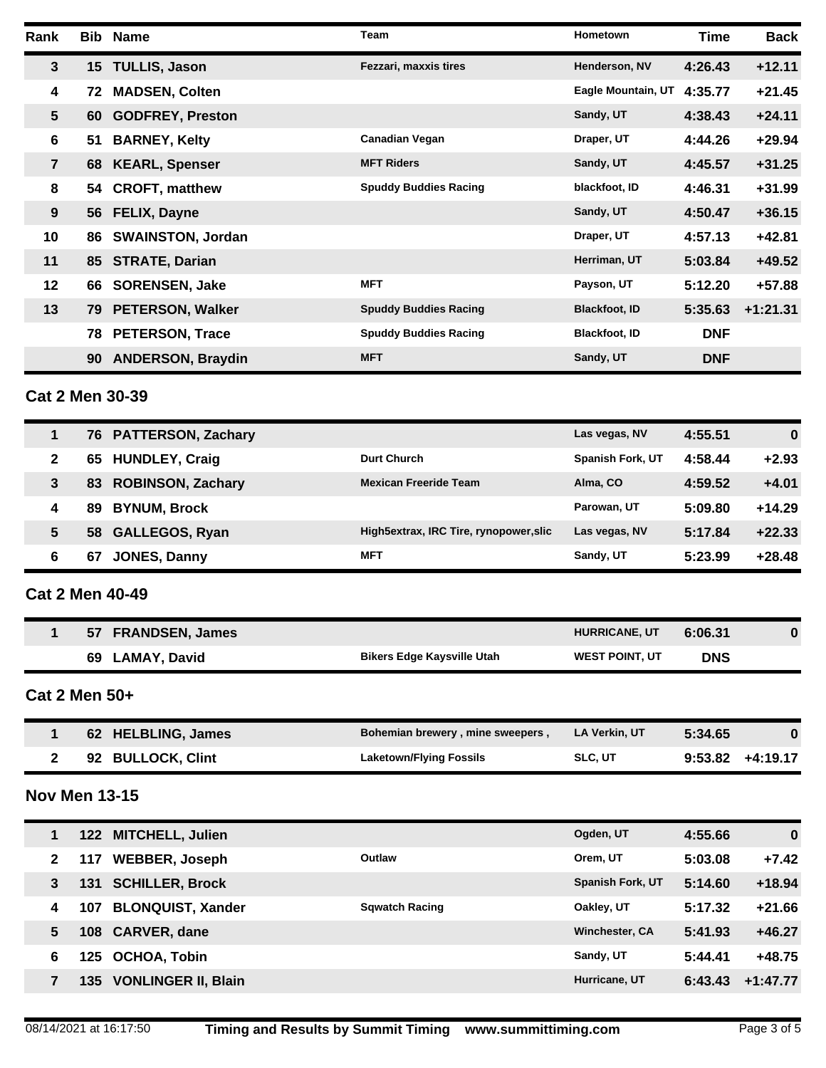| Rank            |    | <b>Bib Name</b>          | <b>Team</b>                  | <b>Hometown</b>      | Time       | <b>Back</b> |
|-----------------|----|--------------------------|------------------------------|----------------------|------------|-------------|
| $\mathbf{3}$    |    | 15 TULLIS, Jason         | Fezzari, maxxis tires        | Henderson, NV        | 4:26.43    | $+12.11$    |
| 4               | 72 | <b>MADSEN, Colten</b>    |                              | Eagle Mountain, UT   | 4:35.77    | $+21.45$    |
| $5\phantom{.0}$ | 60 | <b>GODFREY, Preston</b>  |                              | Sandy, UT            | 4:38.43    | $+24.11$    |
| 6               | 51 | <b>BARNEY, Kelty</b>     | <b>Canadian Vegan</b>        | Draper, UT           | 4:44.26    | $+29.94$    |
| $\overline{7}$  |    | 68 KEARL, Spenser        | <b>MFT Riders</b>            | Sandy, UT            | 4:45.57    | $+31.25$    |
| 8               | 54 | <b>CROFT, matthew</b>    | <b>Spuddy Buddies Racing</b> | blackfoot, ID        | 4:46.31    | $+31.99$    |
| 9               |    | 56 FELIX, Dayne          |                              | Sandy, UT            | 4:50.47    | $+36.15$    |
| 10              | 86 | <b>SWAINSTON, Jordan</b> |                              | Draper, UT           | 4:57.13    | $+42.81$    |
| 11              |    | 85 STRATE, Darian        |                              | Herriman, UT         | 5:03.84    | $+49.52$    |
| 12              | 66 | <b>SORENSEN, Jake</b>    | <b>MFT</b>                   | Payson, UT           | 5:12.20    | $+57.88$    |
| 13              | 79 | <b>PETERSON, Walker</b>  | <b>Spuddy Buddies Racing</b> | <b>Blackfoot, ID</b> | 5:35.63    | $+1:21.31$  |
|                 | 78 | <b>PETERSON, Trace</b>   | <b>Spuddy Buddies Racing</b> | <b>Blackfoot, ID</b> | <b>DNF</b> |             |
|                 | 90 | <b>ANDERSON, Braydin</b> | <b>MFT</b>                   | Sandy, UT            | <b>DNF</b> |             |

# **Cat 2 Men 30-39**

| 1 | 76 PATTERSON, Zachary          |                                        | Las vegas, NV           | 4:55.51 | $\bf{0}$ |
|---|--------------------------------|----------------------------------------|-------------------------|---------|----------|
| 2 | <b>HUNDLEY, Craig</b><br>65    | Durt Church                            | <b>Spanish Fork, UT</b> | 4:58.44 | $+2.93$  |
| 3 | <b>ROBINSON, Zachary</b><br>83 | <b>Mexican Freeride Team</b>           | Alma, CO                | 4:59.52 | $+4.01$  |
| 4 | <b>BYNUM, Brock</b><br>89      |                                        | Parowan, UT             | 5:09.80 | $+14.29$ |
| 5 | <b>GALLEGOS, Ryan</b><br>58    | High5extrax, IRC Tire, rynopower, slic | Las vegas, NV           | 5:17.84 | $+22.33$ |
| 6 | JONES, Danny<br>67             | MFT                                    | Sandy, UT               | 5:23.99 | $+28.48$ |
|   |                                |                                        |                         |         |          |

### **Cat 2 Men 40-49**

| <b>FRANDSEN, James</b><br>57 |                                   | <b>HURRICANE, UT</b>  | 6:06.31    |  |
|------------------------------|-----------------------------------|-----------------------|------------|--|
| 69<br>LAMAY, David           | <b>Bikers Edge Kaysville Utah</b> | <b>WEST POINT, UT</b> | <b>DNS</b> |  |

**Cat 2 Men 50+**

| 62 HELBLING, James | Bohemian brewery, mine sweepers, | LA Verkin. UT  | 5:34.65            |  |
|--------------------|----------------------------------|----------------|--------------------|--|
| 92 BULLOCK, Clint  | <b>Laketown/Flying Fossils</b>   | <b>SLC. UT</b> | $9:53.82 +4:19.17$ |  |

# **Nov Men 13-15**

| 1 |      | 122 MITCHELL, Julien       |                       | Ogden, UT               | 4:55.66 | $\mathbf 0$ |
|---|------|----------------------------|-----------------------|-------------------------|---------|-------------|
| 2 | 117  | <b>WEBBER, Joseph</b>      | Outlaw                | Orem, UT                | 5:03.08 | $+7.42$     |
| 3 | 131  | <b>SCHILLER, Brock</b>     |                       | <b>Spanish Fork, UT</b> | 5:14.60 | $+18.94$    |
| 4 | 107  | <b>BLONQUIST, Xander</b>   | <b>Sqwatch Racing</b> | Oakley, UT              | 5:17.32 | $+21.66$    |
| 5 | 108  | <b>CARVER, dane</b>        |                       | <b>Winchester, CA</b>   | 5:41.93 | $+46.27$    |
| 6 | 125. | <b>OCHOA, Tobin</b>        |                       | Sandy, UT               | 5:44.41 | $+48.75$    |
|   | 135  | <b>VONLINGER II, Blain</b> |                       | Hurricane, UT           | 6:43.43 | $+1:47.77$  |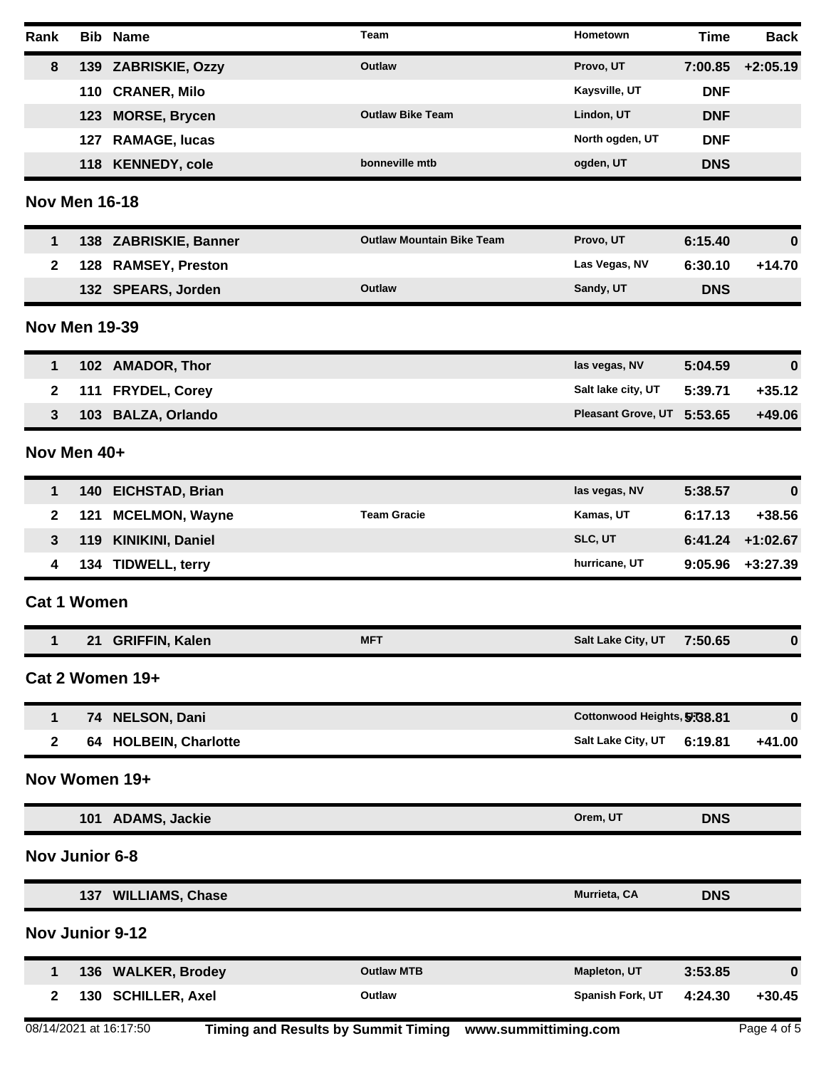| Rank         |                        | <b>Bib Name</b>        | Team                                                     | Hometown                    | <b>Time</b> | <b>Back</b> |
|--------------|------------------------|------------------------|----------------------------------------------------------|-----------------------------|-------------|-------------|
| 8            |                        | 139 ZABRISKIE, Ozzy    | Outlaw                                                   | Provo, UT                   | 7:00.85     | $+2:05.19$  |
|              | 110                    | <b>CRANER, Milo</b>    |                                                          | Kaysville, UT               | <b>DNF</b>  |             |
|              | 123                    | <b>MORSE, Brycen</b>   | <b>Outlaw Bike Team</b>                                  | Lindon, UT                  | <b>DNF</b>  |             |
|              | 127                    | <b>RAMAGE, lucas</b>   |                                                          | North ogden, UT             | <b>DNF</b>  |             |
|              |                        | 118 KENNEDY, cole      | bonneville mtb                                           | ogden, UT                   | <b>DNS</b>  |             |
|              | <b>Nov Men 16-18</b>   |                        |                                                          |                             |             |             |
| 1            |                        | 138 ZABRISKIE, Banner  | <b>Outlaw Mountain Bike Team</b>                         | Provo, UT                   | 6:15.40     | $\bf{0}$    |
| $\mathbf{2}$ |                        | 128 RAMSEY, Preston    |                                                          | Las Vegas, NV               | 6:30.10     | $+14.70$    |
|              |                        | 132 SPEARS, Jorden     | <b>Outlaw</b>                                            | Sandy, UT                   | <b>DNS</b>  |             |
|              | <b>Nov Men 19-39</b>   |                        |                                                          |                             |             |             |
| 1            |                        | 102 AMADOR, Thor       |                                                          | las vegas, NV               | 5:04.59     | $\bf{0}$    |
| 2            | 111                    | <b>FRYDEL, Corey</b>   |                                                          | Salt lake city, UT          | 5:39.71     | $+35.12$    |
| 3            |                        | 103 BALZA, Orlando     |                                                          | <b>Pleasant Grove, UT</b>   | 5:53.65     | +49.06      |
|              | Nov Men 40+            |                        |                                                          |                             |             |             |
| 1            |                        | 140 EICHSTAD, Brian    |                                                          | las vegas, NV               | 5:38.57     | $\bf{0}$    |
| 2            | 121                    | <b>MCELMON, Wayne</b>  | <b>Team Gracie</b>                                       | Kamas, UT                   | 6:17.13     | +38.56      |
| 3            |                        | 119 KINIKINI, Daniel   |                                                          | SLC, UT                     | 6:41.24     | $+1:02.67$  |
| 4            |                        | 134 TIDWELL, terry     |                                                          | hurricane, UT               | 9:05.96     | $+3:27.39$  |
|              | <b>Cat 1 Women</b>     |                        |                                                          |                             |             |             |
| 1            |                        | 21 GRIFFIN, Kalen      | <b>MFT</b>                                               | Salt Lake City, UT          | 7:50.65     | 0           |
|              |                        | Cat 2 Women 19+        |                                                          |                             |             |             |
| 1            |                        | 74 NELSON, Dani        |                                                          | Cottonwood Heights, 5:08.81 |             | 0           |
| 2            |                        | 64 HOLBEIN, Charlotte  |                                                          | Salt Lake City, UT          | 6:19.81     | $+41.00$    |
|              |                        | Nov Women 19+          |                                                          |                             |             |             |
|              |                        | 101 ADAMS, Jackie      |                                                          | Orem, UT                    | <b>DNS</b>  |             |
|              | <b>Nov Junior 6-8</b>  |                        |                                                          |                             |             |             |
|              |                        | 137 WILLIAMS, Chase    |                                                          | Murrieta, CA                | <b>DNS</b>  |             |
|              | <b>Nov Junior 9-12</b> |                        |                                                          |                             |             |             |
| 1            |                        | 136 WALKER, Brodey     | <b>Outlaw MTB</b>                                        | Mapleton, UT                | 3:53.85     | $\bf{0}$    |
| $\mathbf{2}$ |                        | 130 SCHILLER, Axel     | Outlaw                                                   | Spanish Fork, UT            | 4:24.30     | $+30.45$    |
|              |                        | 08/14/2021 at 16:17:50 | Timing and Results by Summit Timing www.summittiming.com |                             |             | Page 4 of 5 |